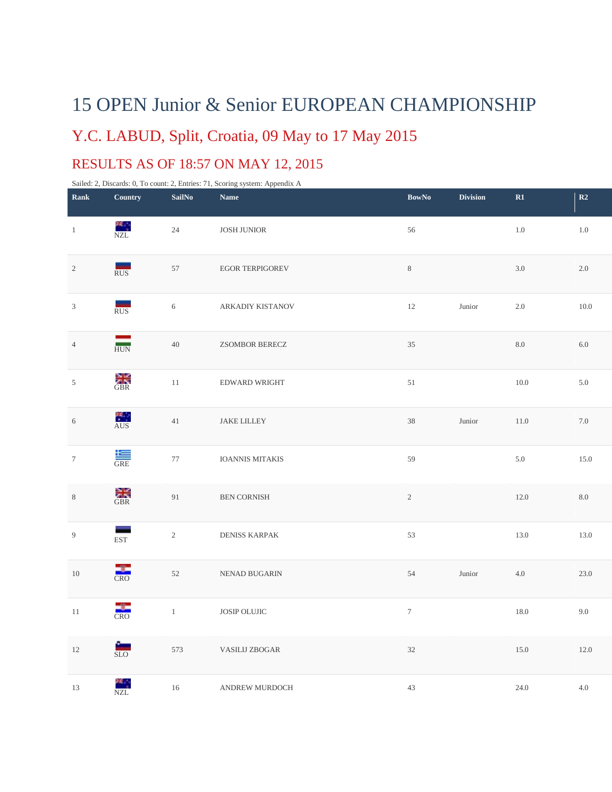## 15 OPEN Junior & Senior EUROPEAN CHAMPIONSHIP

## Y.C. LABUD, Split, Croatia, 09 May to 17 May 2015

## RESULTS AS OF 18:57 ON MAY 12, 2015

Sailed: 2, Discards: 0, To count: 2, Entries: 71, Scoring system: Appendix A

| Rank             | Country                | <b>SailNo</b>  | <b>Name</b>            | <b>BowNo</b>   | <b>Division</b> | $\mathbf{R}1$ | R2         |
|------------------|------------------------|----------------|------------------------|----------------|-----------------|---------------|------------|
| $\mathbf{1}$     | NZL                    | 24             | <b>JOSH JUNIOR</b>     | 56             |                 | $1.0\,$       | $1.0\,$    |
| $\sqrt{2}$       | RUS                    | 57             | <b>EGOR TERPIGOREV</b> | $8\,$          |                 | 3.0           | 2.0        |
| $\sqrt{3}$       | RUS                    | 6              | ARKADIY KISTANOV       | 12             | Junior          | $2.0\,$       | $10.0\,$   |
| $\sqrt{4}$       | HUN                    | 40             | <b>ZSOMBOR BERECZ</b>  | 35             |                 | 8.0           | 6.0        |
| $\mathfrak{S}$   | <b>SIR</b><br>GBR      | $11\,$         | EDWARD WRIGHT          | $51\,$         |                 | $10.0\,$      | 5.0        |
| $\sqrt{6}$       | AUS <sup></sup>        | 41             | JAKE LILLEY            | 38             | Junior          | 11.0          | $7.0\,$    |
| $\boldsymbol{7}$ | $rac{1}{\text{GRE}}$   | 77             | IOANNIS MITAKIS        | 59             |                 | 5.0           | 15.0       |
| $\,8\,$          | <b>CRR</b>             | 91             | BEN CORNISH            | $\overline{c}$ |                 | 12.0          | $\ \, 8.0$ |
| $\boldsymbol{9}$ | -<br><b>EST</b>        | $\overline{2}$ | <b>DENISS KARPAK</b>   | 53             |                 | 13.0          | 13.0       |
| $10\,$           | CRO                    | 52             | NENAD BUGARIN          | 54             | Junior          | $4.0\,$       | 23.0       |
| $11\,$           | <b>CRO</b>             | $\,1\,$        | JOSIP OLUJIC           | $\tau$         |                 | 18.0          | 9.0        |
| $12\,$           | $\frac{1}{\text{SLO}}$ | 573            | <b>VASILIJ ZBOGAR</b>  | 32             |                 | 15.0          | $12.0\,$   |
| 13               | NZL<br>NZL             | $16\,$         | ANDREW MURDOCH         | 43             |                 | 24.0          | 4.0        |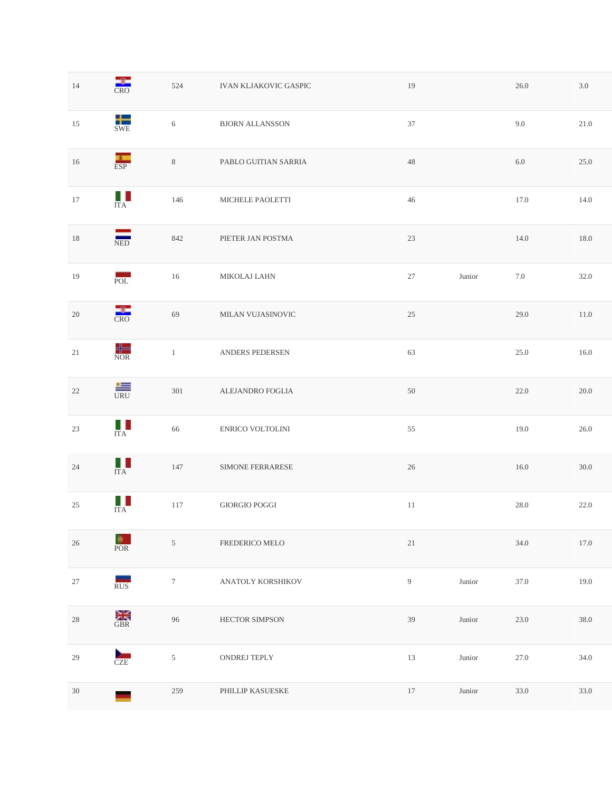| 14     | <b>CRO</b>                   | 524              | <b>IVAN KLJAKOVIC GASPIC</b> | 19             |                 | 26.0     | $3.0\,$  |
|--------|------------------------------|------------------|------------------------------|----------------|-----------------|----------|----------|
| 15     | SWE                          | 6                | <b>BJORN ALLANSSON</b>       | 37             |                 | 9.0      | 21.0     |
| $16\,$ | ESP                          | $\,8\,$          | PABLO GUITIAN SARRIA         | $48\,$         |                 | $6.0\,$  | 25.0     |
| $17\,$ | $\mathbb{R}^n$<br><b>ITA</b> | 146              | MICHELE PAOLETTI             | 46             |                 | 17.0     | 14.0     |
| $18\,$ | NED                          | 842              | PIETER JAN POSTMA            | 23             |                 | 14.0     | $18.0\,$ |
| 19     | POL                          | 16               | MIKOLAJ LAHN                 | 27             | Junior          | $7.0\,$  | 32.0     |
| $20\,$ | <b>CRO</b>                   | 69               | MILAN VUJASINOVIC            | 25             |                 | 29.0     | $11.0\,$ |
| $21\,$ | <b>NOR</b>                   | $\mathbf{1}$     | ANDERS PEDERSEN              | 63             |                 | 25.0     | $16.0\,$ |
| $22\,$ | $\frac{1}{URU}$              | 301              | ALEJANDRO FOGLIA             | 50             |                 | 22.0     | 20.0     |
| $23\,$ | $\prod_{\text{ITA}}$         | 66               | ENRICO VOLTOLINI             | 55             |                 | $19.0\,$ | 26.0     |
| 24     | $\prod_{ITA}$                | $147\,$          | SIMONE FERRARESE             | $26\,$         |                 | $16.0\,$ | $30.0\,$ |
| $25\,$ | Ш<br><b>ITA</b>              | 117              | GIORGIO POGGI                | 11             |                 | 28.0     | 22.0     |
| $26\,$ | <b>POR</b>                   | $\sqrt{5}$       | FREDERICO MELO               | $21\,$         |                 | 34.0     | $17.0\,$ |
| $27\,$ | RUS                          | $\boldsymbol{7}$ | ANATOLY KORSHIKOV            | $\overline{9}$ | ${\it J}$ unior | 37.0     | 19.0     |
| $28\,$ | <b>CRR</b>                   | 96               | HECTOR SIMPSON               | 39             | Junior          | 23.0     | 38.0     |
| $29\,$ | CZE                          | $\sqrt{5}$       | ONDREJ TEPLY                 | 13             | Junior          | 27.0     | 34.0     |
| $30\,$ |                              | 259              | PHILLIP KASUESKE             | 17             | Junior          | 33.0     | 33.0     |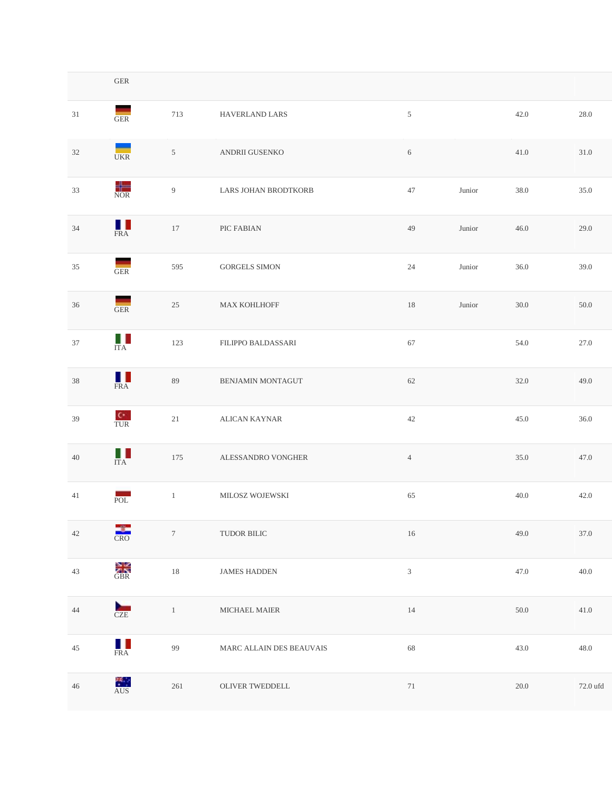|        | ${\rm GER}$            |                  |                          |                |        |          |          |
|--------|------------------------|------------------|--------------------------|----------------|--------|----------|----------|
| 31     | GER                    | 713              | HAVERLAND LARS           | $\mathfrak{S}$ |        | 42.0     | 28.0     |
| 32     | <b>UKR</b>             | 5                | ANDRII GUSENKO           | 6              |        | 41.0     | 31.0     |
| 33     | NOR                    | 9                | LARS JOHAN BRODTKORB     | 47             | Junior | 38.0     | 35.0     |
| $34\,$ | ш<br><b>FRA</b>        | 17               | PIC FABIAN               | 49             | Junior | 46.0     | 29.0     |
| 35     | GER                    | 595              | <b>GORGELS SIMON</b>     | 24             | Junior | 36.0     | 39.0     |
| 36     | GER                    | 25               | MAX KOHLHOFF             | 18             | Junior | 30.0     | 50.0     |
| 37     | $\Box$<br><b>ITA</b>   | 123              | FILIPPO BALDASSARI       | 67             |        | 54.0     | 27.0     |
| 38     | HT.<br><b>FRA</b>      | 89               | BENJAMIN MONTAGUT        | 62             |        | 32.0     | 49.0     |
| 39     | $\frac{C^*}{TUR}$      | 21               | ALICAN KAYNAR            | 42             |        | 45.0     | 36.0     |
| $40\,$ | H.<br><b>ITA</b>       | 175              | ALESSANDRO VONGHER       | $\overline{4}$ |        | 35.0     | 47.0     |
| 41     | POL                    | $\mathbf{1}$     | MILOSZ WOJEWSKI          | 65             |        | 40.0     | 42.0     |
| $42\,$ | <b>CRO</b>             | $\boldsymbol{7}$ | TUDOR BILIC              | $16\,$         |        | 49.0     | 37.0     |
| $43\,$ | <b>CRR</b>             | $18\,$           | <b>JAMES HADDEN</b>      | $\sqrt{3}$     |        | 47.0     | 40.0     |
| $44\,$ | CZE                    | $\,1\,$          | $\sf MICHAEL\; MAIER$    | $14\,$         |        | $50.0\,$ | $41.0\,$ |
| $45\,$ | $\frac{1}{\text{FRA}}$ | 99               | MARC ALLAIN DES BEAUVAIS | 68             |        | 43.0     | $48.0\,$ |
| $46\,$ | AUS <sup></sup>        | 261              | OLIVER TWEDDELL          | $71\,$         |        | $20.0\,$ | 72.0 ufd |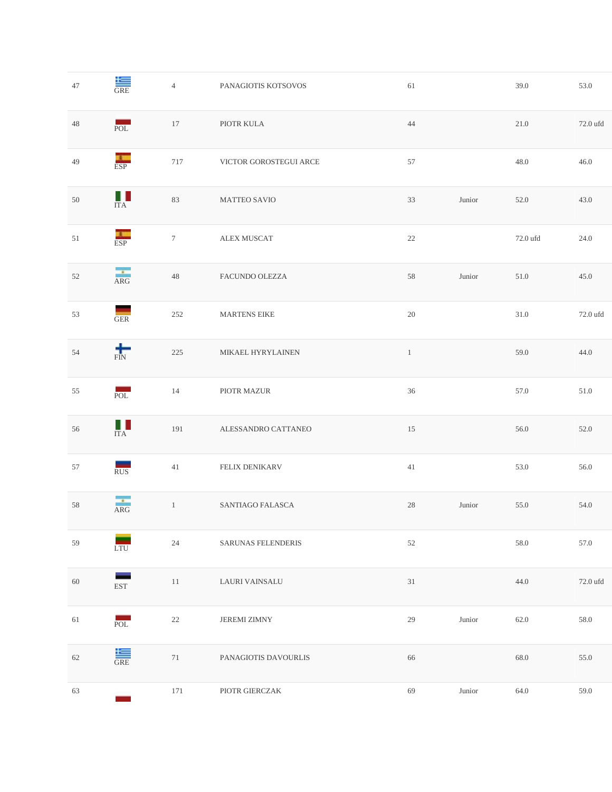| $47\,$ | $rac{1}{\text{GRE}}$   | $\overline{4}$ | PANAGIOTIS KOTSOVOS       | 61           |        | 39.0     | 53.0     |
|--------|------------------------|----------------|---------------------------|--------------|--------|----------|----------|
| $48\,$ | POL                    | 17             | PIOTR KULA                | 44           |        | 21.0     | 72.0 ufd |
| 49     | ESP                    | $717\,$        | VICTOR GOROSTEGUI ARCE    | 57           |        | 48.0     | 46.0     |
| $50\,$ | Ш<br><b>ITA</b>        | 83             | MATTEO SAVIO              | 33           | Junior | 52.0     | 43.0     |
| 51     | ESP                    | $\tau$         | ALEX MUSCAT               | $22\,$       |        | 72.0 ufd | 24.0     |
| 52     | ARG                    | $48\,$         | FACUNDO OLEZZA            | 58           | Junior | 51.0     | 45.0     |
| 53     | GER                    | 252            | <b>MARTENS EIKE</b>       | $20\,$       |        | 31.0     | 72.0 ufd |
| 54     | $\frac{1}{\text{FIN}}$ | 225            | MIKAEL HYRYLAINEN         | $\mathbf{1}$ |        | 59.0     | 44.0     |
| 55     | POL                    | 14             | PIOTR MAZUR               | 36           |        | 57.0     | 51.0     |
| 56     | $\prod_{\text{ITA}}$   | 191            | ALESSANDRO CATTANEO       | $15\,$       |        | 56.0     | 52.0     |
| 57     | RUS                    | 41             | FELIX DENIKARV            | $41\,$       |        | 53.0     | 56.0     |
| 58     | ARG                    | $1\,$          | SANTIAGO FALASCA          | 28           | Junior | 55.0     | 54.0     |
| 59     | LTU                    | 24             | <b>SARUNAS FELENDERIS</b> | 52           |        | 58.0     | 57.0     |
| $60\,$ | EST                    | 11             | LAURI VAINSALU            | 31           |        | 44.0     | 72.0 ufd |
| 61     | $\sim$<br>POL          | $22\,$         | <b>JEREMI ZIMNY</b>       | $29\,$       | Junior | 62.0     | 58.0     |
| 62     | $\frac{1}{\text{GRE}}$ | 71             | PANAGIOTIS DAVOURLIS      | 66           |        | 68.0     | 55.0     |
| 63     |                        | 171            | PIOTR GIERCZAK            | 69           | Junior | 64.0     | 59.0     |